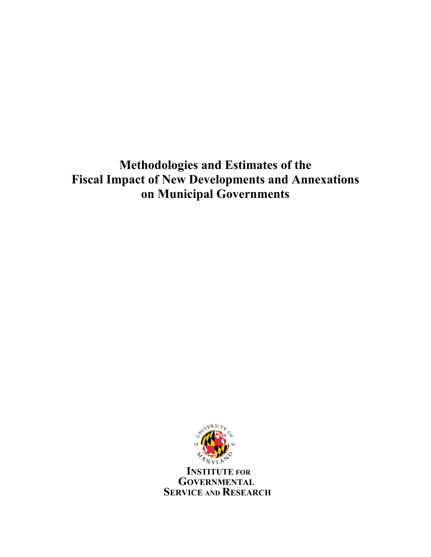# **Methodologies and Estimates of the Fiscal Impact of New Developments and Annexations on Municipal Governments**



 **INSTITUTE FOR GOVERNMENTAL SERVICE AND RESEARCH**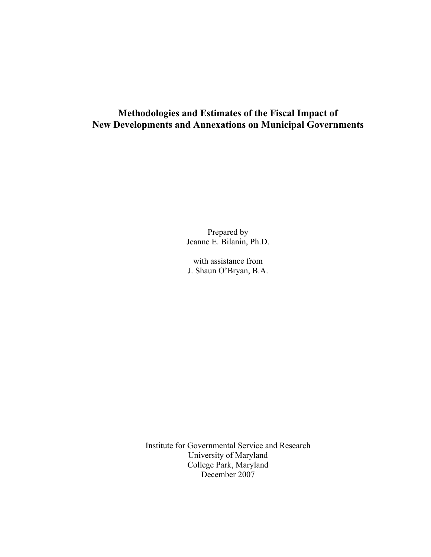### **Methodologies and Estimates of the Fiscal Impact of New Developments and Annexations on Municipal Governments**

Prepared by Jeanne E. Bilanin, Ph.D.

with assistance from J. Shaun O'Bryan, B.A.

Institute for Governmental Service and Research University of Maryland College Park, Maryland December 2007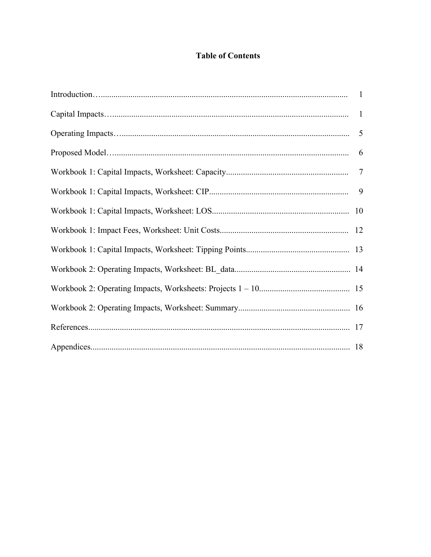### **Table of Contents**

| 9 |
|---|
|   |
|   |
|   |
|   |
|   |
|   |
|   |
|   |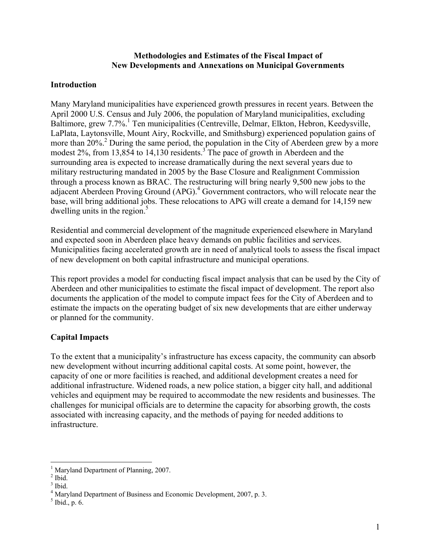#### **Methodologies and Estimates of the Fiscal Impact of New Developments and Annexations on Municipal Governments**

### **Introduction**

Many Maryland municipalities have experienced growth pressures in recent years. Between the April 2000 U.S. Census and July 2006, the population of Maryland municipalities, excluding Baltimore, grew 7.7%.<sup>1</sup> Ten municipalities (Centreville, Delmar, Elkton, Hebron, Keedysville, LaPlata, Laytonsville, Mount Airy, Rockville, and Smithsburg) experienced population gains of more than [2](#page-3-1)0%.<sup>2</sup> During the same period, the population in the City of Aberdeen grew by a more modest  $2\%$ , from 13,854 to 14,130 residents.<sup>3</sup> The pace of growth in Aberdeen and the surrounding area is expected to increase dramatically during the next several years due to military restructuring mandated in 2005 by the Base Closure and Realignment Commission through a process known as BRAC. The restructuring will bring nearly 9,500 new jobs to the adjacentAberdeen Proving Ground (APG).<sup>4</sup> Government contractors, who will relocate near the base, will bring additional jobs. These relocations to APG will create a demand for 14,159 new dwelling units in the region. $5$ 

Residential and commercial development of the magnitude experienced elsewhere in Maryland and expected soon in Aberdeen place heavy demands on public facilities and services. Municipalities facing accelerated growth are in need of analytical tools to assess the fiscal impact of new development on both capital infrastructure and municipal operations.

This report provides a model for conducting fiscal impact analysis that can be used by the City of Aberdeen and other municipalities to estimate the fiscal impact of development. The report also documents the application of the model to compute impact fees for the City of Aberdeen and to estimate the impacts on the operating budget of six new developments that are either underway or planned for the community.

### **Capital Impacts**

To the extent that a municipality's infrastructure has excess capacity, the community can absorb new development without incurring additional capital costs. At some point, however, the capacity of one or more facilities is reached, and additional development creates a need for additional infrastructure. Widened roads, a new police station, a bigger city hall, and additional vehicles and equipment may be required to accommodate the new residents and businesses. The challenges for municipal officials are to determine the capacity for absorbing growth, the costs associated with increasing capacity, and the methods of paying for needed additions to infrastructure.

<span id="page-3-0"></span> $\overline{a}$ <sup>1</sup> Maryland Department of Planning, 2007.

<span id="page-3-1"></span> $^{2}$  Ibid.

<span id="page-3-2"></span> $3$  Ibid.

<span id="page-3-3"></span> $^{4}$  Maryland Department of Business and Economic Development, 2007, p. 3.  $^{5}$  Ibid., p. 6.

<span id="page-3-4"></span>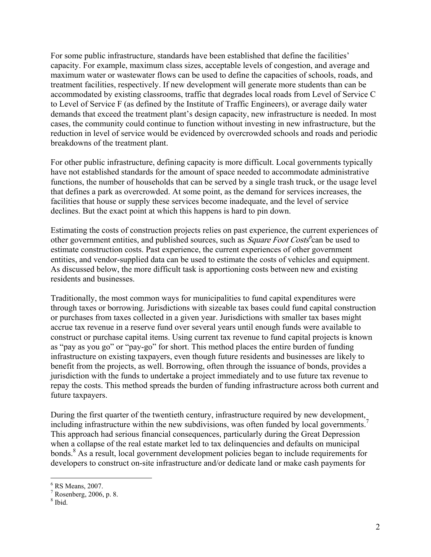For some public infrastructure, standards have been established that define the facilities' capacity. For example, maximum class sizes, acceptable levels of congestion, and average and maximum water or wastewater flows can be used to define the capacities of schools, roads, and treatment facilities, respectively. If new development will generate more students than can be accommodated by existing classrooms, traffic that degrades local roads from Level of Service C to Level of Service F (as defined by the Institute of Traffic Engineers), or average daily water demands that exceed the treatment plant's design capacity, new infrastructure is needed. In most cases, the community could continue to function without investing in new infrastructure, but the reduction in level of service would be evidenced by overcrowded schools and roads and periodic breakdowns of the treatment plant.

For other public infrastructure, defining capacity is more difficult. Local governments typically have not established standards for the amount of space needed to accommodate administrative functions, the number of households that can be served by a single trash truck, or the usage level that defines a park as overcrowded. At some point, as the demand for services increases, the facilities that house or supply these services become inadequate, and the level of service declines. But the exact point at which this happens is hard to pin down.

Estimating the costs of construction projects relies on past experience, the current experiences of other government entities, and published sources, such as *Square Foot Costs*<sup>[6](#page-4-0)</sup> can be used to estimate construction costs. Past experience, the current experiences of other government entities, and vendor-supplied data can be used to estimate the costs of vehicles and equipment. As discussed below, the more difficult task is apportioning costs between new and existing residents and businesses.

Traditionally, the most common ways for municipalities to fund capital expenditures were through taxes or borrowing. Jurisdictions with sizeable tax bases could fund capital construction or purchases from taxes collected in a given year. Jurisdictions with smaller tax bases might accrue tax revenue in a reserve fund over several years until enough funds were available to construct or purchase capital items. Using current tax revenue to fund capital projects is known as "pay as you go" or "pay-go" for short. This method places the entire burden of funding infrastructure on existing taxpayers, even though future residents and businesses are likely to benefit from the projects, as well. Borrowing, often through the issuance of bonds, provides a jurisdiction with the funds to undertake a project immediately and to use future tax revenue to repay the costs. This method spreads the burden of funding infrastructure across both current and future taxpayers.

During the first quarter of the twentieth century, infrastructure required by new development, including infrastructure within the new subdivisions, was often funded by local governments.<sup>[7](#page-4-1)</sup> This approach had serious financial consequences, particularly during the Great Depression when a collapse of the real estate market led to tax delinquencies and defaults on municipal bonds.<sup>[8](#page-4-2)</sup> As a result, local government development policies began to include requirements for developers to construct on-site infrastructure and/or dedicate land or make cash payments for

 $\overline{a}$ 

<span id="page-4-0"></span> $6$  RS Means, 2007.

<span id="page-4-1"></span> $<sup>7</sup>$  Rosenberg, 2006, p. 8.</sup>

<span id="page-4-2"></span><sup>&</sup>lt;sup>8</sup> Ibid.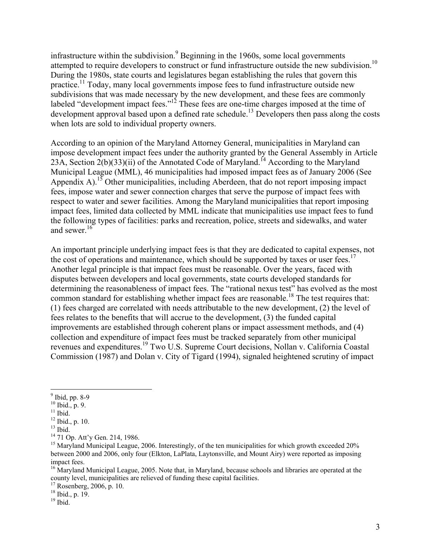infrastructure within the subdivision.<sup>[9](#page-5-0)</sup> Beginning in the 1960s, some local governments attempted to require developers to construct or fund infrastructure outside the new subdivision.<sup>[10](#page-5-1)</sup> During the 1980s, state courts and legislatures began establishing the rules that govern this practice.<sup>11</sup> Today, many local governments impose fees to fund infrastructure outside new subdivisions that was made necessary by the new development, and these fees are commonly labeled "development impact fees."<sup>12</sup> These fees are one-time charges imposed at the time of development approval based upon a defined rate schedule.<sup>13</sup> Developers then pass along the costs when lots are sold to individual property owners.

According to an opinion of the Maryland Attorney General, municipalities in Maryland can impose development impact fees under the authority granted by the General Assembly in Article 23A, Section  $2(b)(33)(ii)$  of the Annotated Code of Maryland.<sup>14</sup> According to the Maryland Municipal League (MML), 46 municipalities had imposed impact fees as of January 2006 (See Appendix A).<sup>15</sup> Other municipalities, including Aberdeen, that do not report imposing impact fees, impose water and sewer connection charges that serve the purpose of impact fees with respect to water and sewer facilities. Among the Maryland municipalities that report imposing impact fees, limited data collected by MML indicate that municipalities use impact fees to fund the following types of facilities: parks and recreation, police, streets and sidewalks, and water and sewer[.16](#page-5-7)

An important principle underlying impact fees is that they are dedicated to capital expenses, not the cost of operations and maintenance, which should be supported by taxes or user fees.<sup>[17](#page-5-8)</sup> Another legal principle is that impact fees must be reasonable. Over the years, faced with disputes between developers and local governments, state courts developed standards for determining the reasonableness of impact fees. The "rational nexus test" has evolved as the most common standard for establishing whether impact fees are reasonable.<sup>18</sup> The test requires that: (1) fees charged are correlated with needs attributable to the new development, (2) the level of fees relates to the benefits that will accrue to the development, (3) the funded capital improvements are established through coherent plans or impact assessment methods, and (4) collection and expenditure of impact fees must be tracked separately from other municipal revenues and expenditures.[19 T](#page-5-10)wo U.S. Supreme Court decisions, Nollan v. California Coastal Commission (1987) and Dolan v. City of Tigard (1994), signaled heightened scrutiny of impact

1

<span id="page-5-10"></span>

<span id="page-5-0"></span> $9$  Ibid, pp. 8-9

<span id="page-5-1"></span>

<span id="page-5-2"></span>

<span id="page-5-3"></span>

<span id="page-5-4"></span>

<span id="page-5-6"></span><span id="page-5-5"></span>

<sup>&</sup>lt;sup>10</sup> Ibid., p. 9.<br>
<sup>11</sup> Ibid., p. 9.<br>
<sup>12</sup> Ibid., p. 10.<br>
<sup>13</sup> Ibid.<br>
<sup>14</sup> 71 Op. Att'y Gen. 214, 1986.<br>
<sup>15</sup> Maryland Municipal League, 2006. Interestingly, of the ten municipalities for which growth exceeded 20% between 2000 and 2006, only four (Elkton, LaPlata, Laytonsville, and Mount Airy) were reported as imposing impact fees. 16 Maryland Municipal League, 2005. Note that, in Maryland, because schools and libraries are operated at the

<span id="page-5-7"></span>county level, municipalities are relieved of funding these capital facilities.<br><sup>17</sup> Rosenberg, 2006, p. 10.<br><sup>18</sup> Ibid., p. 19. <sup>19</sup> Ibid.

<span id="page-5-8"></span>

<span id="page-5-9"></span>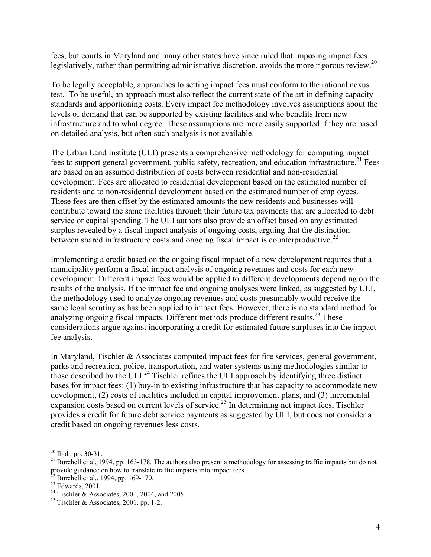fees, but courts in Maryland and many other states have since ruled that imposing impact fees legislatively, rather than permitting administrative discretion, avoids the more rigorous review.<sup>[20](#page-6-0)</sup>

To be legally acceptable, approaches to setting impact fees must conform to the rational nexus test. To be useful, an approach must also reflect the current state-of-the art in defining capacity standards and apportioning costs. Every impact fee methodology involves assumptions about the levels of demand that can be supported by existing facilities and who benefits from new infrastructure and to what degree. These assumptions are more easily supported if they are based on detailed analysis, but often such analysis is not available.

The Urban Land Institute (ULI) presents a comprehensive methodology for computing impact fees to support general government, public safety, recreation, and education infrastructure.<sup>21</sup> Fees are based on an assumed distribution of costs between residential and non-residential development. Fees are allocated to residential development based on the estimated number of residents and to non-residential development based on the estimated number of employees. These fees are then offset by the estimated amounts the new residents and businesses will contribute toward the same facilities through their future tax payments that are allocated to debt service or capital spending. The ULI authors also provide an offset based on any estimated surplus revealed by a fiscal impact analysis of ongoing costs, arguing that the distinction between shared infrastructure costs and ongoing fiscal impact is counterproductive.<sup>22</sup>

Implementing a credit based on the ongoing fiscal impact of a new development requires that a municipality perform a fiscal impact analysis of ongoing revenues and costs for each new development. Different impact fees would be applied to different developments depending on the results of the analysis. If the impact fee and ongoing analyses were linked, as suggested by ULI, the methodology used to analyze ongoing revenues and costs presumably would receive the same legal scrutiny as has been applied to impact fees. However, there is no standard method for analyzing ongoing fiscal impacts. Different methods produce different results.<sup>23</sup> These considerations argue against incorporating a credit for estimated future surpluses into the impact fee analysis.

In Maryland, Tischler & Associates computed impact fees for fire services, general government, parks and recreation, police, transportation, and water systems using methodologies similar to those described by the ULI.<sup>24</sup> Tischler refines the ULI approach by identifying three distinct bases for impact fees: (1) buy-in to existing infrastructure that has capacity to accommodate new development, (2) costs of facilities included in capital improvement plans, and (3) incremental expansion costs based on current levels of service.<sup>25</sup> In determining net impact fees, Tischler provides a credit for future debt service payments as suggested by ULI, but does not consider a credit based on ongoing revenues less costs.

<span id="page-6-0"></span> $^{20}$  Ibid., pp. 30-31.

<span id="page-6-1"></span><sup>&</sup>lt;sup>21</sup> Burchell et al, 1994, pp. 163-178. The authors also present a methodology for assessing traffic impacts but do not provide guidance on how to translate traffic impacts into impact fees.<br><sup>22</sup> Burchell et al., 1994, pp. 169-170.<br><sup>23</sup> Edwards, 2001. 2004, and 2005.<br><sup>25</sup> Tischler & Associates, 2001. pp. 1-2.

<span id="page-6-2"></span>

<span id="page-6-3"></span>

<span id="page-6-4"></span>

<span id="page-6-5"></span>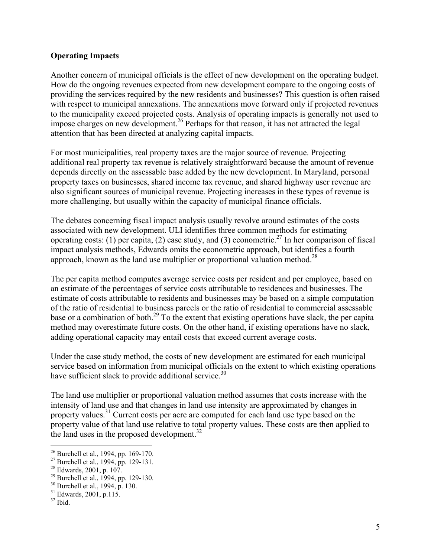#### **Operating Impacts**

Another concern of municipal officials is the effect of new development on the operating budget. How do the ongoing revenues expected from new development compare to the ongoing costs of providing the services required by the new residents and businesses? This question is often raised with respect to municipal annexations. The annexations move forward only if projected revenues to the municipality exceed projected costs. Analysis of operating impacts is generally not used to impose charges on new development.<sup>26</sup> Perhaps for that reason, it has not attracted the legal attention that has been directed at analyzing capital impacts.

For most municipalities, real property taxes are the major source of revenue. Projecting additional real property tax revenue is relatively straightforward because the amount of revenue depends directly on the assessable base added by the new development. In Maryland, personal property taxes on businesses, shared income tax revenue, and shared highway user revenue are also significant sources of municipal revenue. Projecting increases in these types of revenue is more challenging, but usually within the capacity of municipal finance officials.

The debates concerning fiscal impact analysis usually revolve around estimates of the costs associated with new development. ULI identifies three common methods for estimating operating costs: (1) per capita, (2) case study, and (3) econometric.<sup>27</sup> In her comparison of fiscal impact analysis methods, Edwards omits the econometric approach, but identifies a fourth approach, known as the land use multiplier or proportional valuation method.<sup>28</sup>

The per capita method computes average service costs per resident and per employee, based on an estimate of the percentages of service costs attributable to residences and businesses. The estimate of costs attributable to residents and businesses may be based on a simple computation of the ratio of residential to business parcels or the ratio of residential to commercial assessable base or a combination of both.<sup>29</sup> To the extent that existing operations have slack, the per capita method may overestimate future costs. On the other hand, if existing operations have no slack, adding operational capacity may entail costs that exceed current average costs.

Under the case study method, the costs of new development are estimated for each municipal service based on information from municipal officials on the extent to which existing operations have sufficient slack to provide additional service.<sup>[30](#page-7-4)</sup>

The land use multiplier or proportional valuation method assumes that costs increase with the intensity of land use and that changes in land use intensity are approximated by changes in property values.<sup>31</sup> Current costs per acre are computed for each land use type based on the property value of that land use relative to total property values. These costs are then applied to the land uses in the proposed development.<sup>32</sup>

<span id="page-7-0"></span><sup>&</sup>lt;sup>26</sup> Burchell et al., 1994, pp. 169-170.

<span id="page-7-1"></span>

<span id="page-7-3"></span><span id="page-7-2"></span>

<sup>&</sup>lt;sup>27</sup> Burchell et al., 1994, pp. 129-131.<br><sup>28</sup> Edwards, 2001, p. 107.<br><sup>29</sup> Burchell et al., 1994, pp. 129-130.<br><sup>30</sup> Burchell et al., 1994, p. 130.<br><sup>31</sup> Edwards, 2001, p.115.<br><sup>32</sup> Ibid.

<span id="page-7-4"></span>

<span id="page-7-5"></span>

<span id="page-7-6"></span>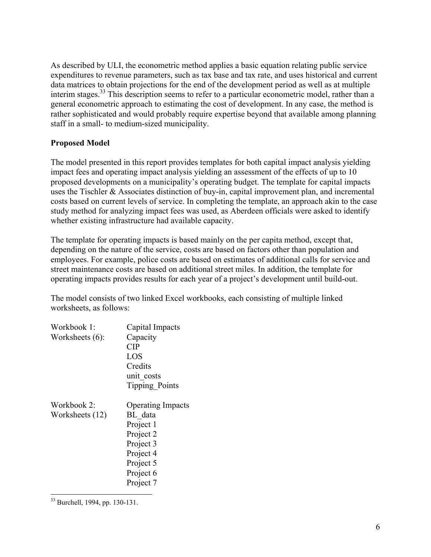As described by ULI, the econometric method applies a basic equation relating public service expenditures to revenue parameters, such as tax base and tax rate, and uses historical and current data matrices to obtain projections for the end of the development period as well as at multiple interim stages.<sup>33</sup> This description seems to refer to a particular econometric model, rather than a general econometric approach to estimating the cost of development. In any case, the method is rather sophisticated and would probably require expertise beyond that available among planning staff in a small- to medium-sized municipality.

### **Proposed Model**

The model presented in this report provides templates for both capital impact analysis yielding impact fees and operating impact analysis yielding an assessment of the effects of up to 10 proposed developments on a municipality's operating budget. The template for capital impacts uses the Tischler & Associates distinction of buy-in, capital improvement plan, and incremental costs based on current levels of service. In completing the template, an approach akin to the case study method for analyzing impact fees was used, as Aberdeen officials were asked to identify whether existing infrastructure had available capacity.

The template for operating impacts is based mainly on the per capita method, except that, depending on the nature of the service, costs are based on factors other than population and employees. For example, police costs are based on estimates of additional calls for service and street maintenance costs are based on additional street miles. In addition, the template for operating impacts provides results for each year of a project's development until build-out.

The model consists of two linked Excel workbooks, each consisting of multiple linked worksheets, as follows:

| Workbook 1:     | Capital Impacts          |
|-----------------|--------------------------|
| Worksheets (6): | Capacity                 |
|                 | <b>CIP</b>               |
|                 | LOS                      |
|                 | Credits                  |
|                 | unit costs               |
|                 | <b>Tipping Points</b>    |
| Workbook 2:     | <b>Operating Impacts</b> |
| Worksheets (12) | BL data                  |
|                 |                          |
|                 | Project 1                |
|                 | Project 2                |
|                 | Project 3                |
|                 | Project 4                |
|                 | Project 5                |
|                 | Project 6                |

<span id="page-8-0"></span><sup>33</sup> Burchell, 1994, pp. 130-131.

<u>.</u>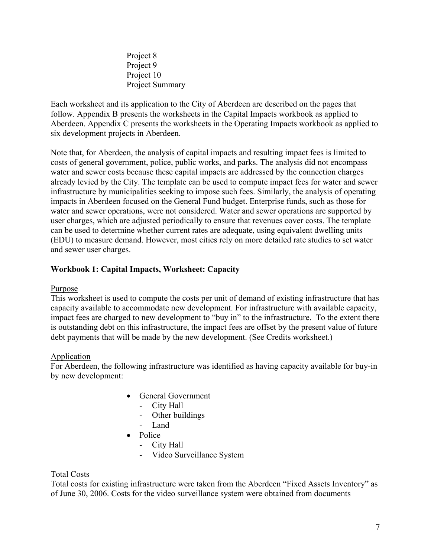Project 8 Project 9 Project 10 Project Summary

Each worksheet and its application to the City of Aberdeen are described on the pages that follow. Appendix B presents the worksheets in the Capital Impacts workbook as applied to Aberdeen. Appendix C presents the worksheets in the Operating Impacts workbook as applied to six development projects in Aberdeen.

Note that, for Aberdeen, the analysis of capital impacts and resulting impact fees is limited to costs of general government, police, public works, and parks. The analysis did not encompass water and sewer costs because these capital impacts are addressed by the connection charges already levied by the City. The template can be used to compute impact fees for water and sewer infrastructure by municipalities seeking to impose such fees. Similarly, the analysis of operating impacts in Aberdeen focused on the General Fund budget. Enterprise funds, such as those for water and sewer operations, were not considered. Water and sewer operations are supported by user charges, which are adjusted periodically to ensure that revenues cover costs. The template can be used to determine whether current rates are adequate, using equivalent dwelling units (EDU) to measure demand. However, most cities rely on more detailed rate studies to set water and sewer user charges.

### **Workbook 1: Capital Impacts, Worksheet: Capacity**

### Purpose

This worksheet is used to compute the costs per unit of demand of existing infrastructure that has capacity available to accommodate new development. For infrastructure with available capacity, impact fees are charged to new development to "buy in" to the infrastructure. To the extent there is outstanding debt on this infrastructure, the impact fees are offset by the present value of future debt payments that will be made by the new development. (See Credits worksheet.)

### Application

For Aberdeen, the following infrastructure was identified as having capacity available for buy-in by new development:

- General Government
	- City Hall
	- Other buildings
	- Land
- Police
	- City Hall
	- Video Surveillance System

#### Total Costs

Total costs for existing infrastructure were taken from the Aberdeen "Fixed Assets Inventory" as of June 30, 2006. Costs for the video surveillance system were obtained from documents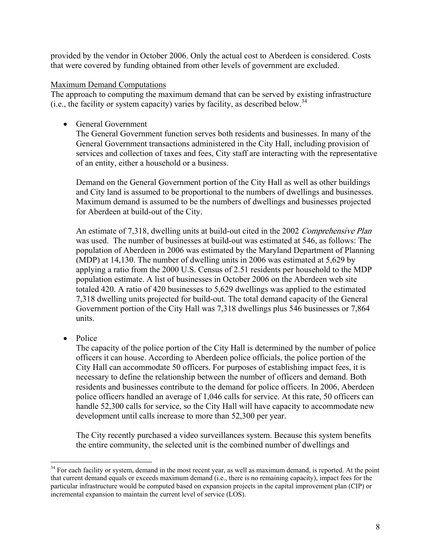provided by the vendor in October 2006. Only the actual cost to Aberdeen is considered. Costs that were covered by funding obtained from other levels of government are excluded.

### Maximum Demand Computations

The approach to computing the maximum demand that can be served by existing infrastructure (i.e., the facility or system capacity) varies by facility, as described below.<sup>34</sup>

• General Government

The General Government function serves both residents and businesses. In many of the General Government transactions administered in the City Hall, including provision of services and collection of taxes and fees, City staff are interacting with the representative of an entity, either a household or a business.

Demand on the General Government portion of the City Hall as well as other buildings and City land is assumed to be proportional to the numbers of dwellings and businesses. Maximum demand is assumed to be the numbers of dwellings and businesses projected for Aberdeen at build-out of the City.

An estimate of 7,318, dwelling units at build-out cited in the 2002 Comprehensive Plan was used. The number of businesses at build-out was estimated at 546, as follows: The population of Aberdeen in 2006 was estimated by the Maryland Department of Planning (MDP) at 14,130. The number of dwelling units in 2006 was estimated at 5,629 by applying a ratio from the 2000 U.S. Census of 2.51 residents per household to the MDP population estimate. A list of businesses in October 2006 on the Aberdeen web site totaled 420. A ratio of 420 businesses to 5,629 dwellings was applied to the estimated 7,318 dwelling units projected for build-out. The total demand capacity of the General Government portion of the City Hall was 7,318 dwellings plus 546 businesses or 7,864 units.

• Police

 $\overline{a}$ 

The capacity of the police portion of the City Hall is determined by the number of police officers it can house. According to Aberdeen police officials, the police portion of the City Hall can accommodate 50 officers. For purposes of establishing impact fees, it is necessary to define the relationship between the number of officers and demand. Both residents and businesses contribute to the demand for police officers. In 2006, Aberdeen police officers handled an average of 1,046 calls for service. At this rate, 50 officers can handle 52,300 calls for service, so the City Hall will have capacity to accommodate new development until calls increase to more than 52,300 per year.

The City recently purchased a video surveillances system. Because this system benefits the entire community, the selected unit is the combined number of dwellings and

<span id="page-10-0"></span> $34$  For each facility or system, demand in the most recent year, as well as maximum demand, is reported. At the point that current demand equals or exceeds maximum demand (i.e., there is no remaining capacity), impact fees for the particular infrastructure would be computed based on expansion projects in the capital improvement plan (CIP) or incremental expansion to maintain the current level of service (LOS).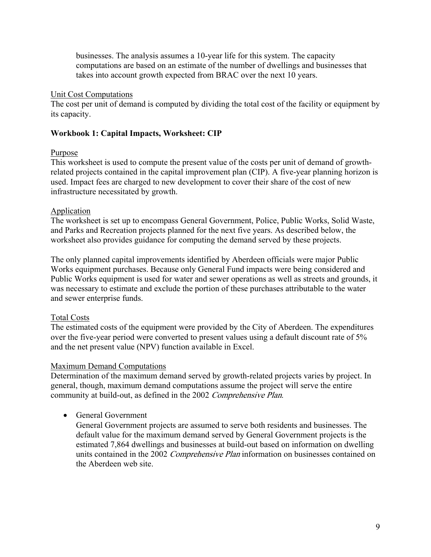businesses. The analysis assumes a 10-year life for this system. The capacity computations are based on an estimate of the number of dwellings and businesses that takes into account growth expected from BRAC over the next 10 years.

#### Unit Cost Computations

The cost per unit of demand is computed by dividing the total cost of the facility or equipment by its capacity.

### **Workbook 1: Capital Impacts, Worksheet: CIP**

#### Purpose

This worksheet is used to compute the present value of the costs per unit of demand of growthrelated projects contained in the capital improvement plan (CIP). A five-year planning horizon is used. Impact fees are charged to new development to cover their share of the cost of new infrastructure necessitated by growth.

#### Application

The worksheet is set up to encompass General Government, Police, Public Works, Solid Waste, and Parks and Recreation projects planned for the next five years. As described below, the worksheet also provides guidance for computing the demand served by these projects.

The only planned capital improvements identified by Aberdeen officials were major Public Works equipment purchases. Because only General Fund impacts were being considered and Public Works equipment is used for water and sewer operations as well as streets and grounds, it was necessary to estimate and exclude the portion of these purchases attributable to the water and sewer enterprise funds.

### Total Costs

The estimated costs of the equipment were provided by the City of Aberdeen. The expenditures over the five-year period were converted to present values using a default discount rate of 5% and the net present value (NPV) function available in Excel.

#### Maximum Demand Computations

Determination of the maximum demand served by growth-related projects varies by project. In general, though, maximum demand computations assume the project will serve the entire community at build-out, as defined in the 2002 Comprehensive Plan.

### • General Government

General Government projects are assumed to serve both residents and businesses. The default value for the maximum demand served by General Government projects is the estimated 7,864 dwellings and businesses at build-out based on information on dwelling units contained in the 2002 *Comprehensive Plan* information on businesses contained on the Aberdeen web site.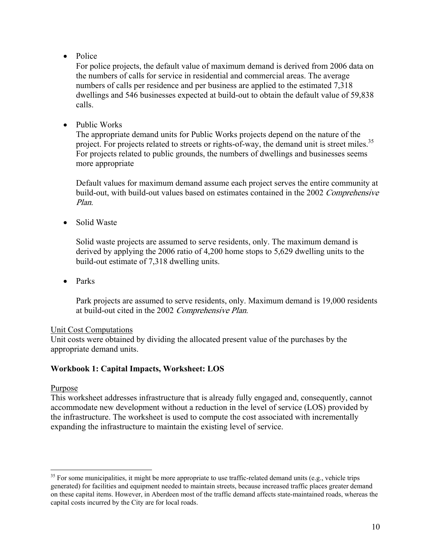• Police

For police projects, the default value of maximum demand is derived from 2006 data on the numbers of calls for service in residential and commercial areas. The average numbers of calls per residence and per business are applied to the estimated 7,318 dwellings and 546 businesses expected at build-out to obtain the default value of 59,838 calls.

• Public Works

The appropriate demand units for Public Works projects depend on the nature of the project. For projects related to streets or rights-of-way, the demand unit is street miles.<sup>[35](#page-12-0)</sup> For projects related to public grounds, the numbers of dwellings and businesses seems more appropriate

Default values for maximum demand assume each project serves the entire community at build-out, with build-out values based on estimates contained in the 2002 Comprehensive Plan.

• Solid Waste

Solid waste projects are assumed to serve residents, only. The maximum demand is derived by applying the 2006 ratio of 4,200 home stops to 5,629 dwelling units to the build-out estimate of 7,318 dwelling units.

• Parks

Park projects are assumed to serve residents, only. Maximum demand is 19,000 residents at build-out cited in the 2002 Comprehensive Plan.

### Unit Cost Computations

Unit costs were obtained by dividing the allocated present value of the purchases by the appropriate demand units.

### **Workbook 1: Capital Impacts, Worksheet: LOS**

### Purpose

<u>.</u>

This worksheet addresses infrastructure that is already fully engaged and, consequently, cannot accommodate new development without a reduction in the level of service (LOS) provided by the infrastructure. The worksheet is used to compute the cost associated with incrementally expanding the infrastructure to maintain the existing level of service.

<span id="page-12-0"></span> $35$  For some municipalities, it might be more appropriate to use traffic-related demand units (e.g., vehicle trips generated) for facilities and equipment needed to maintain streets, because increased traffic places greater demand on these capital items. However, in Aberdeen most of the traffic demand affects state-maintained roads, whereas the capital costs incurred by the City are for local roads.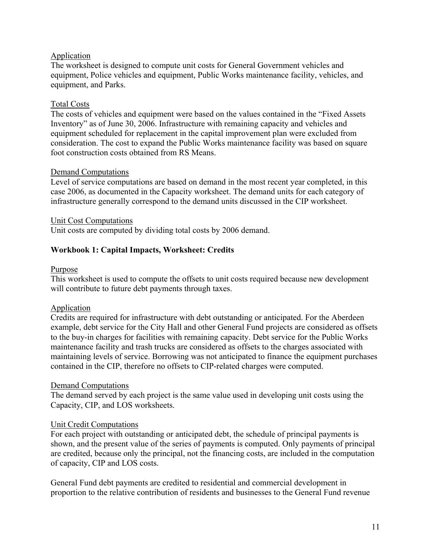### Application

The worksheet is designed to compute unit costs for General Government vehicles and equipment, Police vehicles and equipment, Public Works maintenance facility, vehicles, and equipment, and Parks.

#### Total Costs

The costs of vehicles and equipment were based on the values contained in the "Fixed Assets Inventory" as of June 30, 2006. Infrastructure with remaining capacity and vehicles and equipment scheduled for replacement in the capital improvement plan were excluded from consideration. The cost to expand the Public Works maintenance facility was based on square foot construction costs obtained from RS Means.

#### Demand Computations

Level of service computations are based on demand in the most recent year completed, in this case 2006, as documented in the Capacity worksheet. The demand units for each category of infrastructure generally correspond to the demand units discussed in the CIP worksheet.

#### Unit Cost Computations

Unit costs are computed by dividing total costs by 2006 demand.

#### **Workbook 1: Capital Impacts, Worksheet: Credits**

#### Purpose

This worksheet is used to compute the offsets to unit costs required because new development will contribute to future debt payments through taxes.

#### **Application**

Credits are required for infrastructure with debt outstanding or anticipated. For the Aberdeen example, debt service for the City Hall and other General Fund projects are considered as offsets to the buy-in charges for facilities with remaining capacity. Debt service for the Public Works maintenance facility and trash trucks are considered as offsets to the charges associated with maintaining levels of service. Borrowing was not anticipated to finance the equipment purchases contained in the CIP, therefore no offsets to CIP-related charges were computed.

#### Demand Computations

The demand served by each project is the same value used in developing unit costs using the Capacity, CIP, and LOS worksheets.

#### Unit Credit Computations

For each project with outstanding or anticipated debt, the schedule of principal payments is shown, and the present value of the series of payments is computed. Only payments of principal are credited, because only the principal, not the financing costs, are included in the computation of capacity, CIP and LOS costs.

General Fund debt payments are credited to residential and commercial development in proportion to the relative contribution of residents and businesses to the General Fund revenue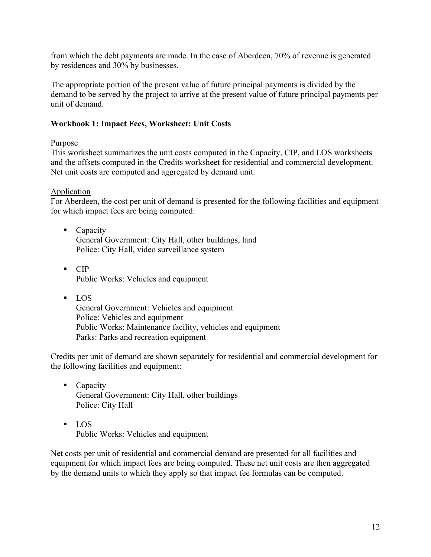from which the debt payments are made. In the case of Aberdeen, 70% of revenue is generated by residences and 30% by businesses.

The appropriate portion of the present value of future principal payments is divided by the demand to be served by the project to arrive at the present value of future principal payments per unit of demand.

### **Workbook 1: Impact Fees, Worksheet: Unit Costs**

### Purpose

This worksheet summarizes the unit costs computed in the Capacity, CIP, and LOS worksheets and the offsets computed in the Credits worksheet for residential and commercial development. Net unit costs are computed and aggregated by demand unit.

### Application

For Aberdeen, the cost per unit of demand is presented for the following facilities and equipment for which impact fees are being computed:

- Capacity General Government: City Hall, other buildings, land Police: City Hall, video surveillance system
- $\blacksquare$  CIP Public Works: Vehicles and equipment
- LOS

General Government: Vehicles and equipment Police: Vehicles and equipment Public Works: Maintenance facility, vehicles and equipment Parks: Parks and recreation equipment

Credits per unit of demand are shown separately for residential and commercial development for the following facilities and equipment:

- Capacity General Government: City Hall, other buildings Police: City Hall
- LOS Public Works: Vehicles and equipment

Net costs per unit of residential and commercial demand are presented for all facilities and equipment for which impact fees are being computed. These net unit costs are then aggregated by the demand units to which they apply so that impact fee formulas can be computed.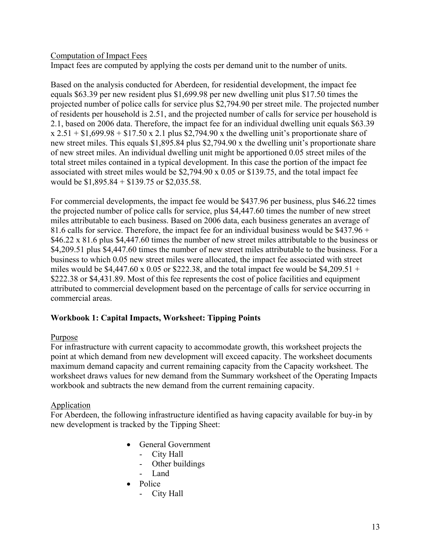### Computation of Impact Fees

Impact fees are computed by applying the costs per demand unit to the number of units.

Based on the analysis conducted for Aberdeen, for residential development, the impact fee equals \$63.39 per new resident plus \$1,699.98 per new dwelling unit plus \$17.50 times the projected number of police calls for service plus \$2,794.90 per street mile. The projected number of residents per household is 2.51, and the projected number of calls for service per household is 2.1, based on 2006 data. Therefore, the impact fee for an individual dwelling unit equals \$63.39  $x 2.51 + $1,699.98 + $17.50 x 2.1$  plus \$2,794.90 x the dwelling unit's proportionate share of new street miles. This equals \$1,895.84 plus \$2,794.90 x the dwelling unit's proportionate share of new street miles. An individual dwelling unit might be apportioned 0.05 street miles of the total street miles contained in a typical development. In this case the portion of the impact fee associated with street miles would be \$2,794.90 x 0.05 or \$139.75, and the total impact fee would be \$1,895.84 + \$139.75 or \$2,035.58.

For commercial developments, the impact fee would be \$437.96 per business, plus \$46.22 times the projected number of police calls for service, plus \$4,447.60 times the number of new street miles attributable to each business. Based on 2006 data, each business generates an average of 81.6 calls for service. Therefore, the impact fee for an individual business would be \$437.96 + \$46.22 x 81.6 plus \$4,447.60 times the number of new street miles attributable to the business or \$4,209.51 plus \$4,447.60 times the number of new street miles attributable to the business. For a business to which 0.05 new street miles were allocated, the impact fee associated with street miles would be  $$4,447.60 \times 0.05$  or  $$222.38$ , and the total impact fee would be  $$4,209.51 +$ \$222.38 or \$4,431.89. Most of this fee represents the cost of police facilities and equipment attributed to commercial development based on the percentage of calls for service occurring in commercial areas.

### **Workbook 1: Capital Impacts, Worksheet: Tipping Points**

### Purpose

For infrastructure with current capacity to accommodate growth, this worksheet projects the point at which demand from new development will exceed capacity. The worksheet documents maximum demand capacity and current remaining capacity from the Capacity worksheet. The worksheet draws values for new demand from the Summary worksheet of the Operating Impacts workbook and subtracts the new demand from the current remaining capacity.

### Application

For Aberdeen, the following infrastructure identified as having capacity available for buy-in by new development is tracked by the Tipping Sheet:

- General Government
	- City Hall
	- Other buildings
	- Land
- Police
	- City Hall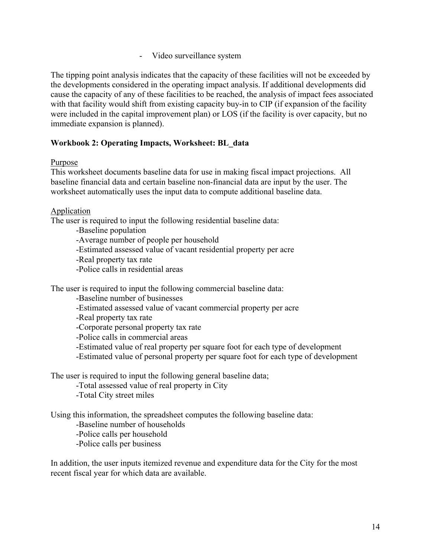- Video surveillance system

The tipping point analysis indicates that the capacity of these facilities will not be exceeded by the developments considered in the operating impact analysis. If additional developments did cause the capacity of any of these facilities to be reached, the analysis of impact fees associated with that facility would shift from existing capacity buy-in to CIP (if expansion of the facility were included in the capital improvement plan) or LOS (if the facility is over capacity, but no immediate expansion is planned).

### **Workbook 2: Operating Impacts, Worksheet: BL\_data**

#### Purpose

This worksheet documents baseline data for use in making fiscal impact projections. All baseline financial data and certain baseline non-financial data are input by the user. The worksheet automatically uses the input data to compute additional baseline data.

#### Application

The user is required to input the following residential baseline data:

-Baseline population

-Average number of people per household

-Estimated assessed value of vacant residential property per acre

-Real property tax rate

-Police calls in residential areas

The user is required to input the following commercial baseline data:

-Baseline number of businesses

-Estimated assessed value of vacant commercial property per acre

-Real property tax rate

-Corporate personal property tax rate

-Police calls in commercial areas

-Estimated value of real property per square foot for each type of development

-Estimated value of personal property per square foot for each type of development

The user is required to input the following general baseline data;

-Total assessed value of real property in City

-Total City street miles

Using this information, the spreadsheet computes the following baseline data:

-Baseline number of households

-Police calls per household

-Police calls per business

In addition, the user inputs itemized revenue and expenditure data for the City for the most recent fiscal year for which data are available.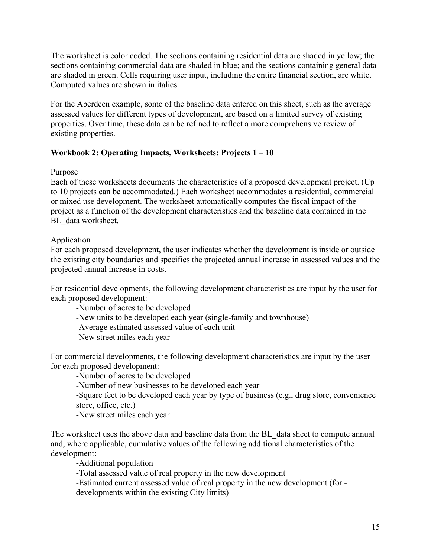The worksheet is color coded. The sections containing residential data are shaded in yellow; the sections containing commercial data are shaded in blue; and the sections containing general data are shaded in green. Cells requiring user input, including the entire financial section, are white. Computed values are shown in italics.

For the Aberdeen example, some of the baseline data entered on this sheet, such as the average assessed values for different types of development, are based on a limited survey of existing properties. Over time, these data can be refined to reflect a more comprehensive review of existing properties.

### **Workbook 2: Operating Impacts, Worksheets: Projects 1 – 10**

### Purpose

Each of these worksheets documents the characteristics of a proposed development project. (Up to 10 projects can be accommodated.) Each worksheet accommodates a residential, commercial or mixed use development. The worksheet automatically computes the fiscal impact of the project as a function of the development characteristics and the baseline data contained in the BL data worksheet.

### Application

For each proposed development, the user indicates whether the development is inside or outside the existing city boundaries and specifies the projected annual increase in assessed values and the projected annual increase in costs.

For residential developments, the following development characteristics are input by the user for each proposed development:

-Number of acres to be developed

-New units to be developed each year (single-family and townhouse)

-Average estimated assessed value of each unit

-New street miles each year

For commercial developments, the following development characteristics are input by the user for each proposed development:

-Number of acres to be developed

-Number of new businesses to be developed each year

-Square feet to be developed each year by type of business (e.g., drug store, convenience store, office, etc.)

-New street miles each year

The worksheet uses the above data and baseline data from the BL\_data sheet to compute annual and, where applicable, cumulative values of the following additional characteristics of the development:

-Additional population

-Total assessed value of real property in the new development

-Estimated current assessed value of real property in the new development (for -

developments within the existing City limits)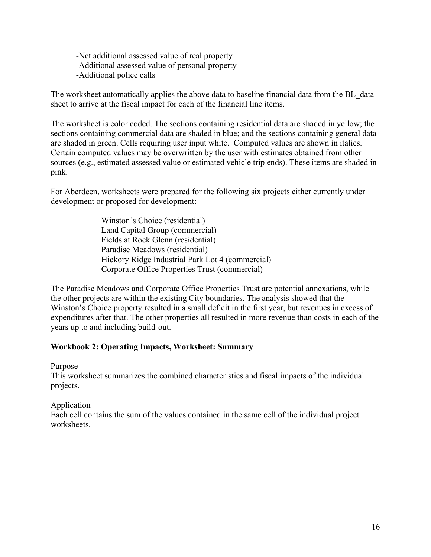-Net additional assessed value of real property -Additional assessed value of personal property -Additional police calls

The worksheet automatically applies the above data to baseline financial data from the BL\_data sheet to arrive at the fiscal impact for each of the financial line items.

The worksheet is color coded. The sections containing residential data are shaded in yellow; the sections containing commercial data are shaded in blue; and the sections containing general data are shaded in green. Cells requiring user input white. Computed values are shown in italics. Certain computed values may be overwritten by the user with estimates obtained from other sources (e.g., estimated assessed value or estimated vehicle trip ends). These items are shaded in pink.

For Aberdeen, worksheets were prepared for the following six projects either currently under development or proposed for development:

> Winston's Choice (residential) Land Capital Group (commercial) Fields at Rock Glenn (residential) Paradise Meadows (residential) Hickory Ridge Industrial Park Lot 4 (commercial) Corporate Office Properties Trust (commercial)

The Paradise Meadows and Corporate Office Properties Trust are potential annexations, while the other projects are within the existing City boundaries. The analysis showed that the Winston's Choice property resulted in a small deficit in the first year, but revenues in excess of expenditures after that. The other properties all resulted in more revenue than costs in each of the years up to and including build-out.

### **Workbook 2: Operating Impacts, Worksheet: Summary**

#### Purpose

This worksheet summarizes the combined characteristics and fiscal impacts of the individual projects.

#### **Application**

Each cell contains the sum of the values contained in the same cell of the individual project worksheets.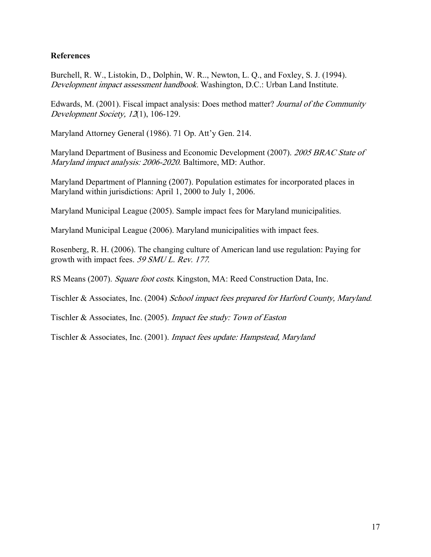### **References**

Burchell, R. W., Listokin, D., Dolphin, W. R.., Newton, L. Q., and Foxley, S. J. (1994). Development impact assessment handbook. Washington, D.C.: Urban Land Institute.

Edwards, M. (2001). Fiscal impact analysis: Does method matter? Journal of the Community Development Society, 12(1), 106-129.

Maryland Attorney General (1986). 71 Op. Att'y Gen. 214.

Maryland Department of Business and Economic Development (2007). 2005 BRAC State of Maryland impact analysis: 2006-2020. Baltimore, MD: Author.

Maryland Department of Planning (2007). Population estimates for incorporated places in Maryland within jurisdictions: April 1, 2000 to July 1, 2006.

Maryland Municipal League (2005). Sample impact fees for Maryland municipalities.

Maryland Municipal League (2006). Maryland municipalities with impact fees.

Rosenberg, R. H. (2006). The changing culture of American land use regulation: Paying for growth with impact fees. 59 SMU L. Rev. 177.

RS Means (2007). Square foot costs. Kingston, MA: Reed Construction Data, Inc.

Tischler & Associates, Inc. (2004) School impact fees prepared for Harford County, Maryland.

Tischler & Associates, Inc. (2005). Impact fee study: Town of Easton

Tischler & Associates, Inc. (2001). Impact fees update: Hampstead, Maryland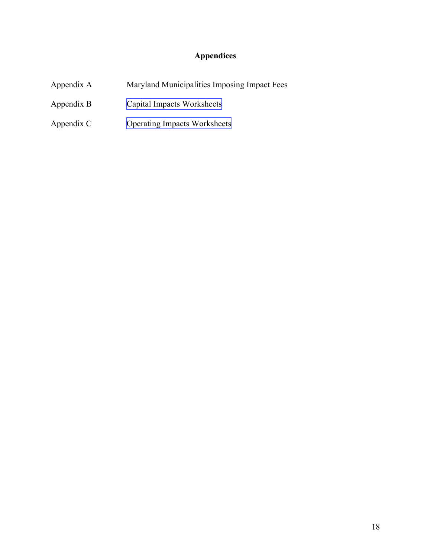## **Appendices**

| Appendix A | Maryland Municipalities Imposing Impact Fees |
|------------|----------------------------------------------|
| Appendix B | Capital Impacts Worksheets                   |
| Appendix C | <b>Operating Impacts Worksheets</b>          |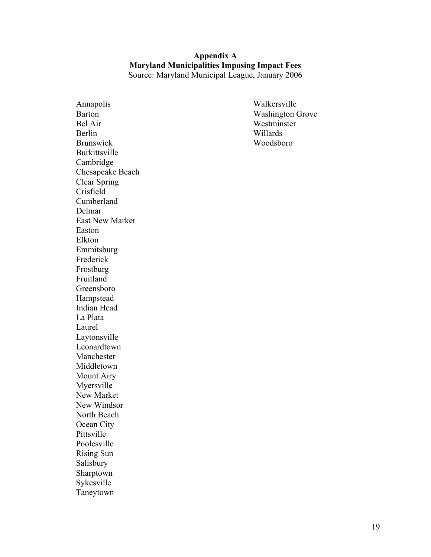#### **Appendix A Maryland Municipalities Imposing Impact Fees**  Source: Maryland Municipal League, January 2006

Annapolis Barton Bel Air Berlin Brunswick Burkittsville Cambridge Chesapeake Beach Clear Spring Crisfield Cumberland Delmar East New Market Easton Elkton Emmitsburg Frederick Frostburg Fruitland Greensboro Hampstead Indian Head La Plata Laurel Laytonsville Leonardtown Manchester Middletown Mount Airy Myersville New Market New Windsor North Beach Ocean City Pittsville Poolesville Rising Sun Salisbury Sharptown Sykesville Taneytown

Walkersville Washington Grove Westminster Willards Woodsboro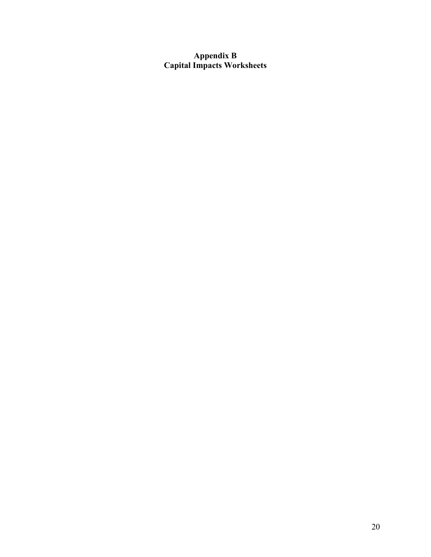#### **Appendix B Capital Impacts Worksheets**